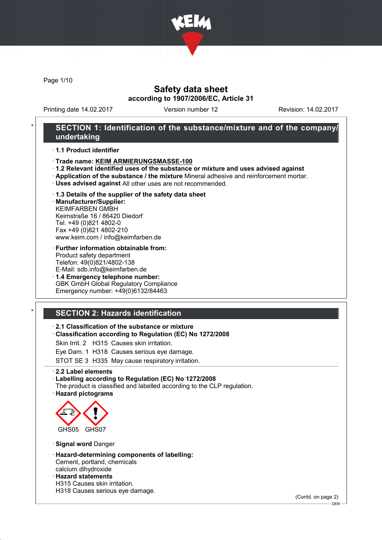

Page 1/10

# Safety data sheet according to 1907/2006/EC, Article 31

Printing date 14.02.2017 Version number 12 Revision: 14.02.2017

### SECTION 1: Identification of the substance/mixture and of the company/ undertaking

· 1.1 Product identifier

- · Trade name: KEIM ARMIERUNGSMASSE-100
- · 1.2 Relevant identified uses of the substance or mixture and uses advised against
- · Application of the substance / the mixture Mineral adhesive and reinforcement mortar.
- · Uses advised against All other uses are not recommended.
- · 1.3 Details of the supplier of the safety data sheet

· Manufacturer/Supplier: KEIMFARBEN GMBH Keimstraße 16 / 86420 Diedorf Tel. +49 (0)821 4802-0 Fax +49 (0)821 4802-210 www.keim.com / info@keimfarben.de

- · Further information obtainable from: Product safety department Telefon: 49(0)821/4802-138 E-Mail: sdb.info@keimfarben.de
- · 1.4 Emergency telephone number: GBK GmbH Global Regulatory Compliance Emergency number: +49(0)6132/84463

# **SECTION 2: Hazards identification**

### · 2.1 Classification of the substance or mixture

· Classification according to Regulation (EC) No 1272/2008

Skin Irrit. 2 H315 Causes skin irritation.

Eye Dam. 1 H318 Causes serious eye damage.

STOT SE 3 H335 May cause respiratory irritation.

· 2.2 Label elements

#### · Labelling according to Regulation (EC) No 1272/2008

The product is classified and labelled according to the CLP regulation. · Hazard pictograms



· Signal word Danger

- · Hazard-determining components of labelling: Cement, portland, chemicals calcium dihydroxide
- · Hazard statements
- H315 Causes skin irritation.
- H318 Causes serious eye damage.

(Contd. on page 2)

<sup>-</sup> DEN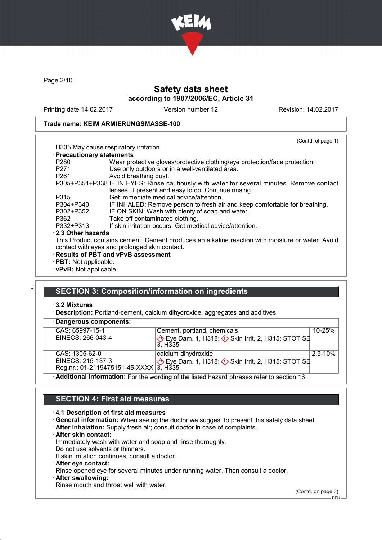

Page 2/10

# Safety data sheet according to 1907/2006/EC, Article 31

Printing date 14.02.2017 Version number 12 Revision: 14.02.2017

(Contd. of page 1)

#### Trade name: KEIM ARMIERUNGSMASSE-100

| H335 May cause respiratory irritation. |  |
|----------------------------------------|--|
|                                        |  |

| · Precautionary statements |                                                                                                  |
|----------------------------|--------------------------------------------------------------------------------------------------|
| P <sub>280</sub>           | Wear protective gloves/protective clothing/eye protection/face protection.                       |
| P <sub>271</sub>           | Use only outdoors or in a well-ventilated area.                                                  |
| P <sub>261</sub>           | Avoid breathing dust.                                                                            |
|                            | P305+P351+P338 IF IN EYES: Rinse cautiously with water for several minutes. Remove contact       |
|                            | lenses, if present and easy to do. Continue rinsing.                                             |
| P315                       | Get immediate medical advice/attention.                                                          |
| P304+P340                  | IF INHALED: Remove person to fresh air and keep comfortable for breathing.                       |
| P302+P352                  | IF ON SKIN: Wash with plenty of soap and water.                                                  |
| P362                       | Take off contaminated clothing.                                                                  |
| P332+P313                  | If skin irritation occurs: Get medical advice/attention.                                         |
| 2.3 Other hazards          |                                                                                                  |
|                            | This Product contains cement. Cement produces an alkaline reaction with moisture or water. Avoid |
|                            | contact with eyes and prolonged skin contact.                                                    |
|                            | · Results of PBT and vPvB assessment                                                             |
|                            |                                                                                                  |

- · PBT: Not applicable.
- · vPvB: Not applicable.

### SECTION 3: Composition/information on ingredients

### · 3.2 Mixtures

· Description: Portland-cement, calcium dihydroxide, aggregates and additives

| · Dangerous components:                |                                                                                                  |              |
|----------------------------------------|--------------------------------------------------------------------------------------------------|--------------|
| CAS: 65997-15-1                        | Cement, portland, chemicals                                                                      | $10 - 25%$   |
| EINECS: 266-043-4                      | Eye Dam. 1, H318; $\Diamond$ Skin Irrit. 2, H315; STOT SE<br>3. H <sub>335</sub>                 |              |
| CAS: 1305-62-0                         | calcium dihydroxide                                                                              | $2.5 - 10\%$ |
| EINECS: 215-137-3                      | Eye Dam. 1, H318; $\Diamond$ Skin Irrit. 2, H315; STOT SE                                        |              |
| Reg.nr.: 01-2119475151-45-XXXX 3, H335 |                                                                                                  |              |
|                                        | $\cdot$ Additional information: For the wording of the listed hazard phrases refer to section 16 |              |

· Additional information: For the wording of the listed hazard phrases refer to section 16.

### SECTION 4: First aid measures

#### · 4.1 Description of first aid measures

- · General information: When seeing the doctor we suggest to present this safety data sheet.
- · After inhalation: Supply fresh air; consult doctor in case of complaints.
- · After skin contact:

Immediately wash with water and soap and rinse thoroughly.

Do not use solvents or thinners. If skin irritation continues, consult a doctor.

- 
- · After eye contact:

Rinse opened eye for several minutes under running water. Then consult a doctor.

After swallowing:

Rinse mouth and throat well with water.

(Contd. on page 3)

DEN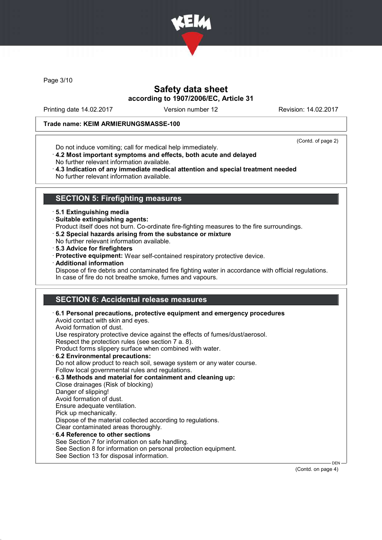

Page 3/10

# Safety data sheet according to 1907/2006/EC, Article 31

Printing date 14.02.2017 Version number 12 Revision: 14.02.2017

### Trade name: KEIM ARMIERUNGSMASSE-100

(Contd. of page 2)

- Do not induce vomiting; call for medical help immediately.
- · 4.2 Most important symptoms and effects, both acute and delayed No further relevant information available.
- · 4.3 Indication of any immediate medical attention and special treatment needed No further relevant information available.

## SECTION 5: Firefighting measures

- · 5.1 Extinguishing media
- · Suitable extinguishing agents:
- Product itself does not burn. Co-ordinate fire-fighting measures to the fire surroundings.
- · 5.2 Special hazards arising from the substance or mixture
- No further relevant information available.
- · 5.3 Advice for firefighters
- · Protective equipment: Wear self-contained respiratory protective device.
- · Additional information
- Dispose of fire debris and contaminated fire fighting water in accordance with official regulations. In case of fire do not breathe smoke, fumes and vapours.

# SECTION 6: Accidental release measures

| $\cdot$ 6.1 Personal precautions, protective equipment and emergency procedures<br>Avoid contact with skin and eyes.<br>Avoid formation of dust. |
|--------------------------------------------------------------------------------------------------------------------------------------------------|
| Use respiratory protective device against the effects of fumes/dust/aerosol.                                                                     |
| Respect the protection rules (see section 7 a. 8).                                                                                               |
| Product forms slippery surface when combined with water.                                                                                         |
| 6.2 Environmental precautions:                                                                                                                   |
| Do not allow product to reach soil, sewage system or any water course.                                                                           |
| Follow local governmental rules and regulations.                                                                                                 |
| 6.3 Methods and material for containment and cleaning up:                                                                                        |
| Close drainages (Risk of blocking)                                                                                                               |
| Danger of slipping!                                                                                                                              |
| Avoid formation of dust.                                                                                                                         |
| Ensure adequate ventilation.                                                                                                                     |
| Pick up mechanically.                                                                                                                            |
| Dispose of the material collected according to regulations.                                                                                      |
| Clear contaminated areas thoroughly.                                                                                                             |
| 6.4 Reference to other sections                                                                                                                  |
| See Section 7 for information on safe handling.                                                                                                  |
| See Section 8 for information on personal protection equipment.                                                                                  |
| See Section 13 for disposal information.                                                                                                         |

(Contd. on page 4)

DEN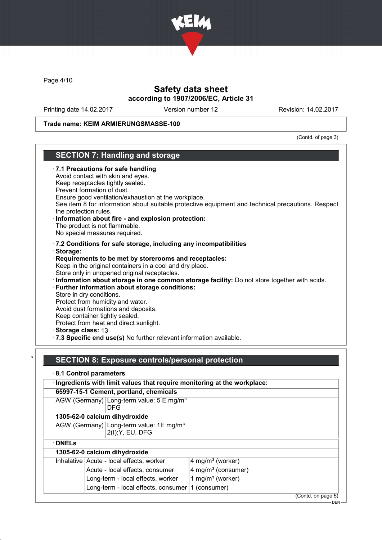

Page 4/10

# Safety data sheet according to 1907/2006/EC, Article 31

Printing date 14.02.2017 Version number 12 Revision: 14.02.2017

Trade name: KEIM ARMIERUNGSMASSE-100

(Contd. of page 3)

# SECTION 7: Handling and storage

|   | · 7.1 Precautions for safe handling<br>Avoid contact with skin and eyes.<br>Keep receptacles tightly sealed.<br>Prevent formation of dust.<br>Ensure good ventilation/exhaustion at the workplace.<br>See item 8 for information about suitable protective equipment and technical precautions. Respect<br>the protection rules.<br>· Information about fire - and explosion protection:<br>The product is not flammable.<br>No special measures required. |
|---|------------------------------------------------------------------------------------------------------------------------------------------------------------------------------------------------------------------------------------------------------------------------------------------------------------------------------------------------------------------------------------------------------------------------------------------------------------|
|   | · 7.2 Conditions for safe storage, including any incompatibilities                                                                                                                                                                                                                                                                                                                                                                                         |
|   | · Storage:                                                                                                                                                                                                                                                                                                                                                                                                                                                 |
|   | Requirements to be met by storerooms and receptacles:                                                                                                                                                                                                                                                                                                                                                                                                      |
|   | Keep in the original containers in a cool and dry place.                                                                                                                                                                                                                                                                                                                                                                                                   |
|   | Store only in unopened original receptacles.<br>Information about storage in one common storage facility: Do not store together with acids.                                                                                                                                                                                                                                                                                                                |
|   | · Further information about storage conditions:                                                                                                                                                                                                                                                                                                                                                                                                            |
|   | Store in dry conditions.                                                                                                                                                                                                                                                                                                                                                                                                                                   |
|   | Protect from humidity and water.                                                                                                                                                                                                                                                                                                                                                                                                                           |
|   | Avoid dust formations and deposits.                                                                                                                                                                                                                                                                                                                                                                                                                        |
|   | Keep container tightly sealed.                                                                                                                                                                                                                                                                                                                                                                                                                             |
|   | Protect from heat and direct sunlight.                                                                                                                                                                                                                                                                                                                                                                                                                     |
|   | Storage class: 13<br>7.3 Specific end use(s) No further relevant information available.                                                                                                                                                                                                                                                                                                                                                                    |
|   |                                                                                                                                                                                                                                                                                                                                                                                                                                                            |
| × | <b>SECTION 8: Exposure controls/personal protection</b>                                                                                                                                                                                                                                                                                                                                                                                                    |
|   | 8.1 Control parameters                                                                                                                                                                                                                                                                                                                                                                                                                                     |
|   | · Ingredients with limit values that require monitoring at the workplace:                                                                                                                                                                                                                                                                                                                                                                                  |
|   | 65997-15-1 Cement, portland, chemicals                                                                                                                                                                                                                                                                                                                                                                                                                     |
|   | $\triangle O(M/\sqrt{O} \cdot \text{meas} \cdot \text{cm})$ Legen terms unlust $E = \text{meas}/\text{cm}^3$                                                                                                                                                                                                                                                                                                                                               |

AGW (Germany) Long-term value:  $5 E mg/m<sup>3</sup>$ DFG 1305-62-0 calcium dihydroxide

AGW (Germany) Long-term value: 1E mg/m<sup>3</sup> 2(I);Y, EU, DFG

· DNELs

# 1305-62-0 calcium dihydroxide

| Inhalative   Acute - local effects, worker         | $ 4 \text{ mg/m}^3$ (worker)            |
|----------------------------------------------------|-----------------------------------------|
| Acute - local effects, consumer                    | $\sqrt{4}$ mg/m <sup>3</sup> (consumer) |
| Long-term - local effects, worker                  | 1 mg/m <sup>3</sup> (worker)            |
| Long-term - local effects, consumer   1 (consumer) |                                         |

(Contd. on page 5)

DEN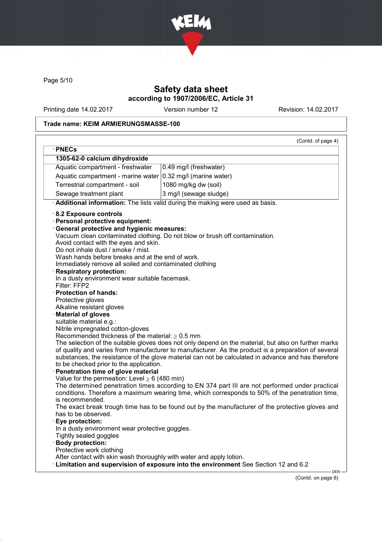

Page 5/10

# Safety data sheet according to 1907/2006/EC, Article 31

Printing date 14.02.2017 Version number 12 Revision: 14.02.2017

### Trade name: KEIM ARMIERUNGSMASSE-100

|                                                                                                                                                                                                                                                                                                                                                                                                                                                                                                                                                                                                                                                                                                                                                                                                                                                                                                                                                              | (Contd. of page 4)                                                                                                                                                                                                                                                                                                                                                                                                                                                                                                                                                                                                                                                                                          |
|--------------------------------------------------------------------------------------------------------------------------------------------------------------------------------------------------------------------------------------------------------------------------------------------------------------------------------------------------------------------------------------------------------------------------------------------------------------------------------------------------------------------------------------------------------------------------------------------------------------------------------------------------------------------------------------------------------------------------------------------------------------------------------------------------------------------------------------------------------------------------------------------------------------------------------------------------------------|-------------------------------------------------------------------------------------------------------------------------------------------------------------------------------------------------------------------------------------------------------------------------------------------------------------------------------------------------------------------------------------------------------------------------------------------------------------------------------------------------------------------------------------------------------------------------------------------------------------------------------------------------------------------------------------------------------------|
| · PNECs                                                                                                                                                                                                                                                                                                                                                                                                                                                                                                                                                                                                                                                                                                                                                                                                                                                                                                                                                      |                                                                                                                                                                                                                                                                                                                                                                                                                                                                                                                                                                                                                                                                                                             |
| 1305-62-0 calcium dihydroxide<br>Aquatic compartment - freshwater                                                                                                                                                                                                                                                                                                                                                                                                                                                                                                                                                                                                                                                                                                                                                                                                                                                                                            | 0.49 mg/l (freshwater)                                                                                                                                                                                                                                                                                                                                                                                                                                                                                                                                                                                                                                                                                      |
|                                                                                                                                                                                                                                                                                                                                                                                                                                                                                                                                                                                                                                                                                                                                                                                                                                                                                                                                                              |                                                                                                                                                                                                                                                                                                                                                                                                                                                                                                                                                                                                                                                                                                             |
| Aquatic compartment - marine water $(0.32 \text{ mg/l})$ (marine water)                                                                                                                                                                                                                                                                                                                                                                                                                                                                                                                                                                                                                                                                                                                                                                                                                                                                                      |                                                                                                                                                                                                                                                                                                                                                                                                                                                                                                                                                                                                                                                                                                             |
| Terrestrial compartment - soil                                                                                                                                                                                                                                                                                                                                                                                                                                                                                                                                                                                                                                                                                                                                                                                                                                                                                                                               | 1080 mg/kg dw (soil)                                                                                                                                                                                                                                                                                                                                                                                                                                                                                                                                                                                                                                                                                        |
| Sewage treatment plant                                                                                                                                                                                                                                                                                                                                                                                                                                                                                                                                                                                                                                                                                                                                                                                                                                                                                                                                       | 3 mg/l (sewage sludge)                                                                                                                                                                                                                                                                                                                                                                                                                                                                                                                                                                                                                                                                                      |
|                                                                                                                                                                                                                                                                                                                                                                                                                                                                                                                                                                                                                                                                                                                                                                                                                                                                                                                                                              | Additional information: The lists valid during the making were used as basis.                                                                                                                                                                                                                                                                                                                                                                                                                                                                                                                                                                                                                               |
| 8.2 Exposure controls<br>· Personal protective equipment:<br>· General protective and hygienic measures:<br>Avoid contact with the eyes and skin.<br>Do not inhale dust / smoke / mist.<br>Wash hands before breaks and at the end of work.<br>Immediately remove all soiled and contaminated clothing<br><b>Respiratory protection:</b><br>In a dusty environment wear suitable facemask.<br>Filter: FFP2<br><b>Protection of hands:</b><br>Protective gloves<br>Alkaline resistant gloves<br><b>Material of gloves</b><br>suitable material e.g.:<br>Nitrile impregnated cotton-gloves<br>Recommended thickness of the material: $\geq 0.5$ mm<br>to be checked prior to the application.<br>Penetration time of glove material<br>Value for the permeation: Level $\geq 6$ (480 min)<br>is recommended.<br>has to be observed.<br>Eye protection:<br>In a dusty environment wear protective goggles.<br>Tightly sealed goggles<br><b>Body protection:</b> | Vacuum clean contaminated clothing. Do not blow or brush off contamination.<br>The selection of the suitable gloves does not only depend on the material, but also on further marks<br>of quality and varies from manufacturer to manufacturer. As the product is a preparation of several<br>substances, the resistance of the glove material can not be calculated in advance and has therefore<br>The determined penetration times according to EN 374 part III are not performed under practical<br>conditions. Therefore a maximum wearing time, which corresponds to 50% of the penetration time,<br>The exact break trough time has to be found out by the manufacturer of the protective gloves and |
|                                                                                                                                                                                                                                                                                                                                                                                                                                                                                                                                                                                                                                                                                                                                                                                                                                                                                                                                                              |                                                                                                                                                                                                                                                                                                                                                                                                                                                                                                                                                                                                                                                                                                             |
| Protective work clothing<br>After contact with skin wash thoroughly with water and apply lotion.                                                                                                                                                                                                                                                                                                                                                                                                                                                                                                                                                                                                                                                                                                                                                                                                                                                             |                                                                                                                                                                                                                                                                                                                                                                                                                                                                                                                                                                                                                                                                                                             |

(Contd. on page 6)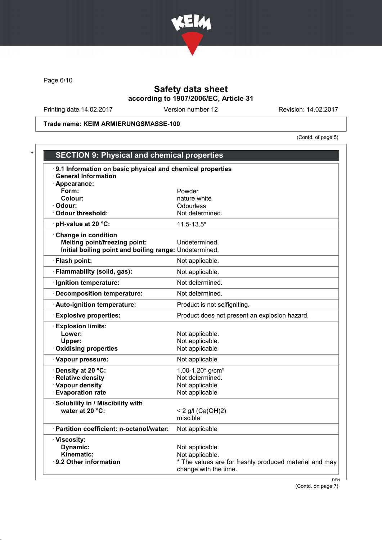

Page 6/10

# Safety data sheet according to 1907/2006/EC, Article 31

Printing date 14.02.2017 Version number 12 Revision: 14.02.2017

Trade name: KEIM ARMIERUNGSMASSE-100

(Contd. of page 5)

| 9.1 Information on basic physical and chemical properties |                                                        |
|-----------------------------------------------------------|--------------------------------------------------------|
| <b>General Information</b>                                |                                                        |
| · Appearance:                                             |                                                        |
| Form:                                                     | Powder                                                 |
| Colour:                                                   | nature white                                           |
| · Odour:                                                  | Odourless                                              |
| · Odour threshold:                                        | Not determined.                                        |
| $\cdot$ pH-value at 20 °C:                                | $11.5 - 13.5*$                                         |
| Change in condition                                       |                                                        |
| <b>Melting point/freezing point:</b>                      | Undetermined.                                          |
| Initial boiling point and boiling range: Undetermined.    |                                                        |
| · Flash point:                                            | Not applicable.                                        |
| · Flammability (solid, gas):                              | Not applicable.                                        |
| · Ignition temperature:                                   | Not determined.                                        |
| · Decomposition temperature:                              | Not determined.                                        |
| · Auto-ignition temperature:                              | Product is not selfigniting.                           |
| <b>Explosive properties:</b>                              | Product does not present an explosion hazard.          |
| <b>Explosion limits:</b>                                  |                                                        |
| Lower:                                                    | Not applicable.                                        |
| Upper:                                                    | Not applicable.                                        |
| <b>Oxidising properties</b>                               | Not applicable                                         |
| · Vapour pressure:                                        | Not applicable                                         |
| · Density at 20 °C:                                       | 1.00-1.20 $*$ g/cm <sup>3</sup>                        |
| · Relative density                                        | Not determined.                                        |
| · Vapour density                                          | Not applicable                                         |
| · Evaporation rate                                        | Not applicable                                         |
| · Solubility in / Miscibility with                        |                                                        |
| water at 20 °C:                                           | < 2 g/l (Ca(OH)2)                                      |
|                                                           | miscible                                               |
| · Partition coefficient: n-octanol/water:                 | Not applicable                                         |
| · Viscosity:                                              |                                                        |
| Dynamic:                                                  | Not applicable.                                        |
| Kinematic:                                                | Not applicable.                                        |
| · 9.2 Other information                                   | * The values are for freshly produced material and may |
|                                                           | change with the time.                                  |

(Contd. on page 7)

- DEN -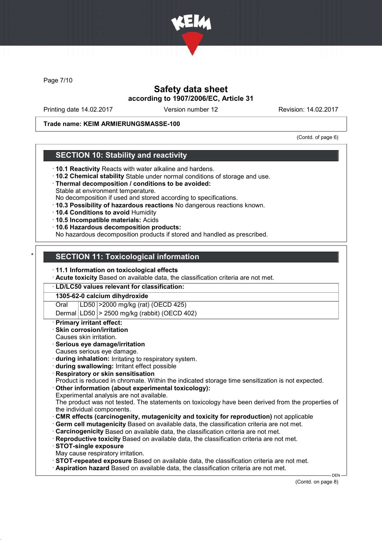

Page 7/10

# Safety data sheet according to 1907/2006/EC, Article 31

Printing date 14.02.2017 Version number 12 Revision: 14.02.2017

### Trade name: KEIM ARMIERUNGSMASSE-100

(Contd. of page 6)

### SECTION 10: Stability and reactivity

- · 10.1 Reactivity Reacts with water alkaline and hardens.
- · 10.2 Chemical stability Stable under normal conditions of storage and use.
- · Thermal decomposition / conditions to be avoided:
- Stable at environment temperature.
- No decomposition if used and stored according to specifications.
- · 10.3 Possibility of hazardous reactions No dangerous reactions known.
- · 10.4 Conditions to avoid Humidity
- · 10.5 Incompatible materials: Acids
- · 10.6 Hazardous decomposition products:

No hazardous decomposition products if stored and handled as prescribed.

### **SECTION 11: Toxicological information**

#### · 11.1 Information on toxicological effects

· Acute toxicity Based on available data, the classification criteria are not met.

#### · LD/LC50 values relevant for classification:

#### 1305-62-0 calcium dihydroxide

Oral LD50 >2000 mg/kg (rat) (OECD 425)

### Dermal LD50  $\geq$  2500 mg/kg (rabbit) (OECD 402)

#### **Primary irritant effect:**

- Skin corrosion/irritation
- Causes skin irritation.

#### Serious eye damage/irritation

- Causes serious eye damage.
- · during inhalation: Irritating to respiratory system.
- · during swallowing: Irritant effect possible
- **Respiratory or skin sensitisation**
- Product is reduced in chromate. Within the indicated storage time sensitization is not expected.
- Other information (about experimental toxicology):
- Experimental analysis are not available.
- The product was not tested. The statements on toxicology have been derived from the properties of the individual components.
- · CMR effects (carcinogenity, mutagenicity and toxicity for reproduction) not applicable
- Germ cell mutagenicity Based on available data, the classification criteria are not met.
- · Carcinogenicity Based on available data, the classification criteria are not met.
- · Reproductive toxicity Based on available data, the classification criteria are not met.
- · STOT-single exposure
- May cause respiratory irritation.
- · STOT-repeated exposure Based on available data, the classification criteria are not met.
- · Aspiration hazard Based on available data, the classification criteria are not met.

DEN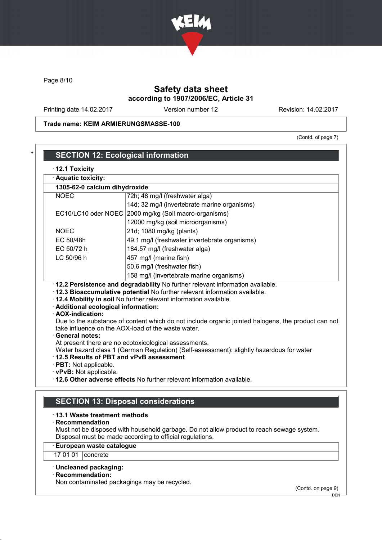

Page 8/10

# Safety data sheet according to 1907/2006/EC, Article 31

Printing date 14.02.2017 Version number 12 Revision: 14.02.2017

Trade name: KEIM ARMIERUNGSMASSE-100

(Contd. of page 7)

| 1305-62-0 calcium dihydroxide                                                                                         |                                                                                                                                                                                                                                                         |  |
|-----------------------------------------------------------------------------------------------------------------------|---------------------------------------------------------------------------------------------------------------------------------------------------------------------------------------------------------------------------------------------------------|--|
| <b>NOEC</b>                                                                                                           | 72h; 48 mg/l (freshwater alga)                                                                                                                                                                                                                          |  |
|                                                                                                                       | 14d; 32 mg/l (invertebrate marine organisms)                                                                                                                                                                                                            |  |
| EC10/LC10 oder NOEC                                                                                                   | 2000 mg/kg (Soil macro-organisms)                                                                                                                                                                                                                       |  |
|                                                                                                                       | 12000 mg/kg (soil microorganisms)                                                                                                                                                                                                                       |  |
| <b>NOEC</b>                                                                                                           | 21d; 1080 mg/kg (plants)                                                                                                                                                                                                                                |  |
| EC 50/48h                                                                                                             | 49.1 mg/l (freshwater invertebrate organisms)                                                                                                                                                                                                           |  |
| EC 50/72 h                                                                                                            | 184.57 mg/l (freshwater alga)                                                                                                                                                                                                                           |  |
| LC 50/96 h                                                                                                            | 457 mg/l (marine fish)                                                                                                                                                                                                                                  |  |
|                                                                                                                       | 50.6 mg/l (freshwater fish)                                                                                                                                                                                                                             |  |
|                                                                                                                       | 158 mg/l (invertebrate marine organisms)                                                                                                                                                                                                                |  |
| · Additional ecological information:<br>· AOX-indication:                                                             | · 12.3 Bioaccumulative potential No further relevant information available.<br>· 12.4 Mobility in soil No further relevant information available.<br>Due to the substance of content which do not include organic jointed halogens, the product can not |  |
| <b>General notes:</b><br>12.5 Results of PBT and vPvB assessment<br>· PBT: Not applicable.<br>· vPvB: Not applicable. | take influence on the AOX-load of the waste water.<br>At present there are no ecotoxicological assessments.<br>Water hazard class 1 (German Regulation) (Self-assessment): slightly hazardous for water                                                 |  |
|                                                                                                                       | . 12.6 Other adverse effects No further relevant information available.                                                                                                                                                                                 |  |

· European waste catalogue

17 01 01 | concrete

· Uncleaned packaging:

· Recommendation:

Non contaminated packagings may be recycled.

(Contd. on page 9)

DEN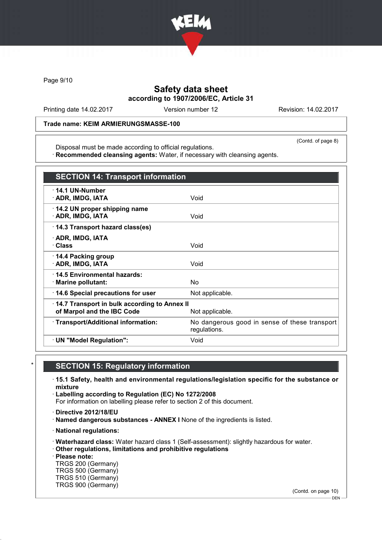

Page 9/10

# Safety data sheet according to 1907/2006/EC, Article 31

Printing date 14.02.2017 Version number 12 Revision: 14.02.2017

#### Trade name: KEIM ARMIERUNGSMASSE-100

(Contd. of page 8)

Disposal must be made according to official regulations. · Recommended cleansing agents: Water, if necessary with cleansing agents.

| <b>SECTION 14: Transport information</b>                                   |                                                               |
|----------------------------------------------------------------------------|---------------------------------------------------------------|
| $\cdot$ 14.1 UN-Number<br>· ADR, IMDG, IATA                                | Void                                                          |
| 14.2 UN proper shipping name<br>· ADR, IMDG, IATA                          | Void                                                          |
| 14.3 Transport hazard class(es)                                            |                                                               |
| · ADR, IMDG, IATA<br>· Class                                               | Void                                                          |
| 14.4 Packing group<br>· ADR, IMDG, IATA                                    | Void                                                          |
| : 14.5 Environmental hazards:<br>$\cdot$ Marine pollutant:                 | N <sub>o</sub>                                                |
| 14.6 Special precautions for user                                          | Not applicable.                                               |
| 14.7 Transport in bulk according to Annex II<br>of Marpol and the IBC Code | Not applicable.                                               |
| · Transport/Additional information:                                        | No dangerous good in sense of these transport<br>regulations. |
| · UN "Model Regulation":                                                   | Void                                                          |

# **SECTION 15: Regulatory information**

· 15.1 Safety, health and environmental regulations/legislation specific for the substance or mixture

· Labelling according to Regulation (EC) No 1272/2008 For information on labelling please refer to section 2 of this document.

· Directive 2012/18/EU

· Named dangerous substances - ANNEX I None of the ingredients is listed.

· National regulations:

· Waterhazard class: Water hazard class 1 (Self-assessment): slightly hazardous for water.

· Other regulations, limitations and prohibitive regulations

· Please note:

TRGS 200 (Germany) TRGS 500 (Germany) TRGS 510 (Germany) TRGS 900 (Germany)

(Contd. on page 10)